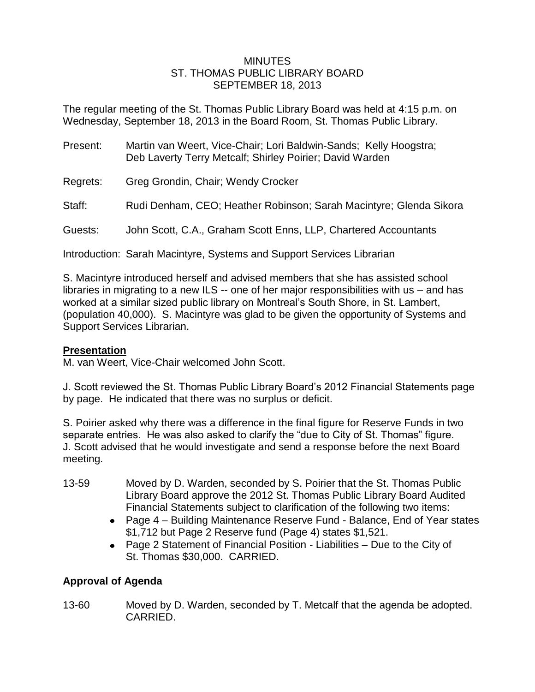## MINUTES ST. THOMAS PUBLIC LIBRARY BOARD SEPTEMBER 18, 2013

The regular meeting of the St. Thomas Public Library Board was held at 4:15 p.m. on Wednesday, September 18, 2013 in the Board Room, St. Thomas Public Library.

| Present: | Martin van Weert, Vice-Chair; Lori Baldwin-Sands; Kelly Hoogstra;<br>Deb Laverty Terry Metcalf; Shirley Poirier; David Warden |
|----------|-------------------------------------------------------------------------------------------------------------------------------|
| Regrets: | Greg Grondin, Chair; Wendy Crocker                                                                                            |
| Staff:   | Rudi Denham, CEO; Heather Robinson; Sarah Macintyre; Glenda Sikora                                                            |
| Guests:  | John Scott, C.A., Graham Scott Enns, LLP, Chartered Accountants                                                               |

Introduction: Sarah Macintyre, Systems and Support Services Librarian

S. Macintyre introduced herself and advised members that she has assisted school libraries in migrating to a new ILS -- one of her major responsibilities with us – and has worked at a similar sized public library on Montreal's South Shore, in St. Lambert, (population 40,000). S. Macintyre was glad to be given the opportunity of Systems and Support Services Librarian.

# **Presentation**

M. van Weert, Vice-Chair welcomed John Scott.

J. Scott reviewed the St. Thomas Public Library Board's 2012 Financial Statements page by page. He indicated that there was no surplus or deficit.

S. Poirier asked why there was a difference in the final figure for Reserve Funds in two separate entries. He was also asked to clarify the "due to City of St. Thomas" figure. J. Scott advised that he would investigate and send a response before the next Board meeting.

- 13-59 Moved by D. Warden, seconded by S. Poirier that the St. Thomas Public Library Board approve the 2012 St. Thomas Public Library Board Audited Financial Statements subject to clarification of the following two items:
	- Page 4 Building Maintenance Reserve Fund Balance, End of Year states \$1,712 but Page 2 Reserve fund (Page 4) states \$1,521.
	- Page 2 Statement of Financial Position Liabilities Due to the City of St. Thomas \$30,000. CARRIED.

# **Approval of Agenda**

13-60 Moved by D. Warden, seconded by T. Metcalf that the agenda be adopted. CARRIED.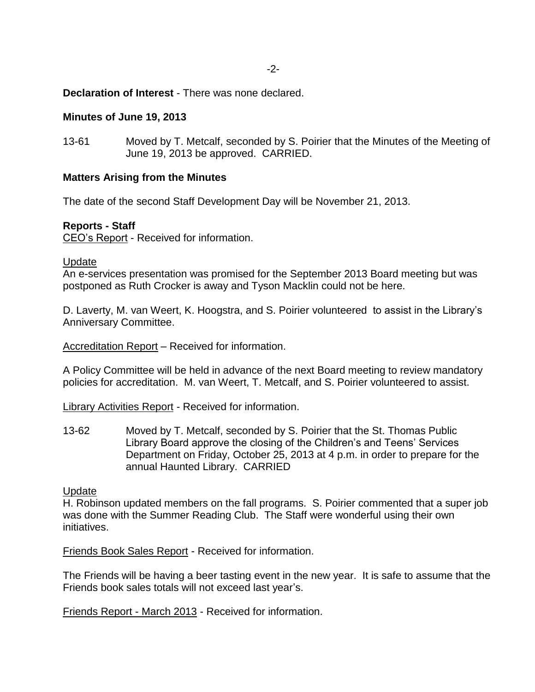**Declaration of Interest** - There was none declared.

## **Minutes of June 19, 2013**

13-61 Moved by T. Metcalf, seconded by S. Poirier that the Minutes of the Meeting of June 19, 2013 be approved. CARRIED.

## **Matters Arising from the Minutes**

The date of the second Staff Development Day will be November 21, 2013.

## **Reports - Staff**

CEO's Report - Received for information.

#### Update

An e-services presentation was promised for the September 2013 Board meeting but was postponed as Ruth Crocker is away and Tyson Macklin could not be here.

D. Laverty, M. van Weert, K. Hoogstra, and S. Poirier volunteered to assist in the Library's Anniversary Committee.

Accreditation Report – Received for information.

A Policy Committee will be held in advance of the next Board meeting to review mandatory policies for accreditation. M. van Weert, T. Metcalf, and S. Poirier volunteered to assist.

Library Activities Report - Received for information.

13-62 Moved by T. Metcalf, seconded by S. Poirier that the St. Thomas Public Library Board approve the closing of the Children's and Teens' Services Department on Friday, October 25, 2013 at 4 p.m. in order to prepare for the annual Haunted Library. CARRIED

#### Update

H. Robinson updated members on the fall programs. S. Poirier commented that a super job was done with the Summer Reading Club. The Staff were wonderful using their own initiatives.

Friends Book Sales Report - Received for information.

The Friends will be having a beer tasting event in the new year. It is safe to assume that the Friends book sales totals will not exceed last year's.

Friends Report - March 2013 - Received for information.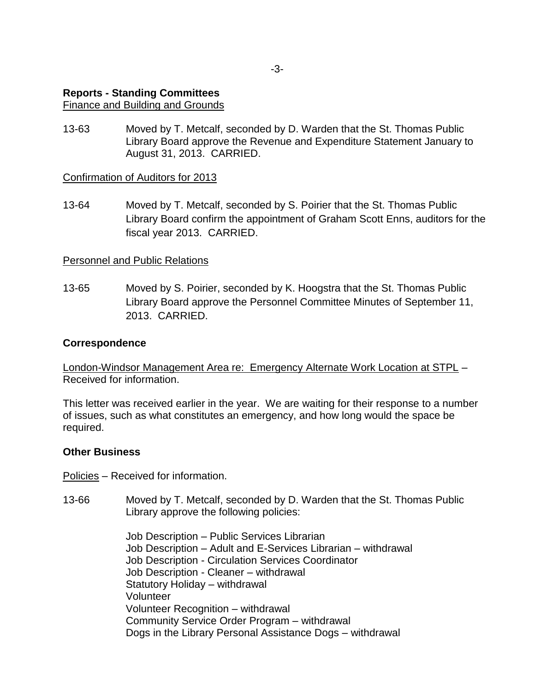# **Reports - Standing Committees**

# Finance and Building and Grounds

13-63 Moved by T. Metcalf, seconded by D. Warden that the St. Thomas Public Library Board approve the Revenue and Expenditure Statement January to August 31, 2013. CARRIED.

# Confirmation of Auditors for 2013

13-64 Moved by T. Metcalf, seconded by S. Poirier that the St. Thomas Public Library Board confirm the appointment of Graham Scott Enns, auditors for the fiscal year 2013. CARRIED.

# Personnel and Public Relations

13-65 Moved by S. Poirier, seconded by K. Hoogstra that the St. Thomas Public Library Board approve the Personnel Committee Minutes of September 11, 2013. CARRIED.

# **Correspondence**

London-Windsor Management Area re: Emergency Alternate Work Location at STPL – Received for information.

This letter was received earlier in the year. We are waiting for their response to a number of issues, such as what constitutes an emergency, and how long would the space be required.

# **Other Business**

Policies – Received for information.

13-66 Moved by T. Metcalf, seconded by D. Warden that the St. Thomas Public Library approve the following policies:

> Job Description – Public Services Librarian Job Description – Adult and E-Services Librarian – withdrawal Job Description - Circulation Services Coordinator Job Description - Cleaner – withdrawal Statutory Holiday – withdrawal Volunteer Volunteer Recognition – withdrawal Community Service Order Program – withdrawal Dogs in the Library Personal Assistance Dogs – withdrawal